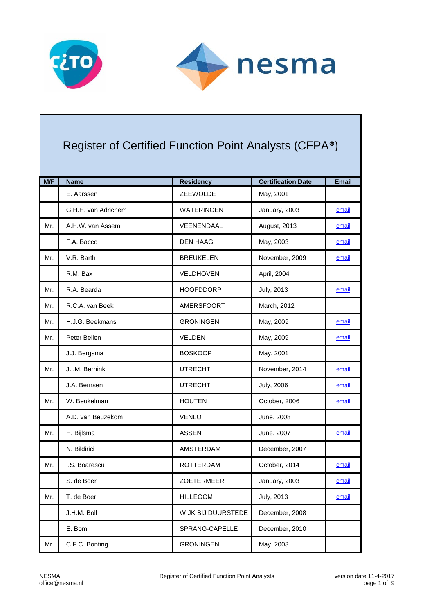



## Register of Certified Function Point Analysts (CFPA®)

| M/F | <b>Name</b>         | <b>Residency</b>   | <b>Certification Date</b> | <b>Email</b> |
|-----|---------------------|--------------------|---------------------------|--------------|
|     | E. Aarssen          | ZEEWOLDE           | May, 2001                 |              |
|     | G.H.H. van Adrichem | <b>WATERINGEN</b>  | January, 2003             | email        |
| Mr. | A.H.W. van Assem    | VEENENDAAL         | August, 2013              | email        |
|     | F.A. Bacco          | <b>DEN HAAG</b>    | May, 2003                 | email        |
| Mr. | V.R. Barth          | <b>BREUKELEN</b>   | November, 2009            | email        |
|     | R.M. Bax            | <b>VELDHOVEN</b>   | April, 2004               |              |
| Mr. | R.A. Bearda         | <b>HOOFDDORP</b>   | July, 2013                | email        |
| Mr. | R.C.A. van Beek     | AMERSFOORT         | March, 2012               |              |
| Mr. | H.J.G. Beekmans     | <b>GRONINGEN</b>   | May, 2009                 | email        |
| Mr. | Peter Bellen        | <b>VELDEN</b>      | May, 2009                 | email        |
|     | J.J. Bergsma        | <b>BOSKOOP</b>     | May, 2001                 |              |
| Mr. | J.I.M. Bernink      | <b>UTRECHT</b>     | November, 2014            | email        |
|     | J.A. Bernsen        | <b>UTRECHT</b>     | <b>July, 2006</b>         | email        |
| Mr. | W. Beukelman        | <b>HOUTEN</b>      | October, 2006             | email        |
|     | A.D. van Beuzekom   | <b>VENLO</b>       | June, 2008                |              |
| Mr. | H. Bijlsma          | <b>ASSEN</b>       | June, 2007                | email        |
|     | N. Bildirici        | <b>AMSTERDAM</b>   | December, 2007            |              |
| Mr. | I.S. Boarescu       | <b>ROTTERDAM</b>   | October, 2014             | email        |
|     | S. de Boer          | ZOETERMEER         | January, 2003             | email        |
| Mr. | T. de Boer          | <b>HILLEGOM</b>    | <b>July, 2013</b>         | email        |
|     | J.H.M. Boll         | WIJK BIJ DUURSTEDE | December, 2008            |              |
|     | E. Bom              | SPRANG-CAPELLE     | December, 2010            |              |
| Mr. | C.F.C. Bonting      | <b>GRONINGEN</b>   | May, 2003                 |              |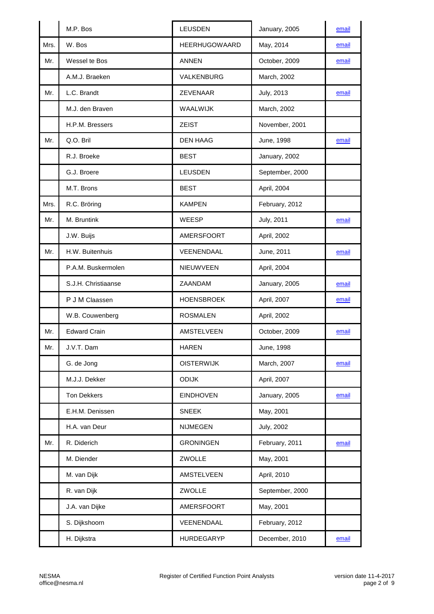|      | M.P. Bos            | <b>LEUSDEN</b>       | January, 2005     | email |
|------|---------------------|----------------------|-------------------|-------|
| Mrs. | W. Bos              | <b>HEERHUGOWAARD</b> | May, 2014         | email |
| Mr.  | Wessel te Bos       | <b>ANNEN</b>         | October, 2009     | email |
|      | A.M.J. Braeken      | VALKENBURG           | March, 2002       |       |
| Mr.  | L.C. Brandt         | ZEVENAAR             | July, 2013        | email |
|      | M.J. den Braven     | WAALWIJK             | March, 2002       |       |
|      | H.P.M. Bressers     | <b>ZEIST</b>         | November, 2001    |       |
| Mr.  | Q.O. Bril           | <b>DEN HAAG</b>      | June, 1998        | email |
|      | R.J. Broeke         | <b>BEST</b>          | January, 2002     |       |
|      | G.J. Broere         | <b>LEUSDEN</b>       | September, 2000   |       |
|      | M.T. Brons          | <b>BEST</b>          | April, 2004       |       |
| Mrs. | R.C. Bröring        | <b>KAMPEN</b>        | February, 2012    |       |
| Mr.  | M. Bruntink         | <b>WEESP</b>         | July, 2011        | email |
|      | J.W. Buijs          | AMERSFOORT           | April, 2002       |       |
| Mr.  | H.W. Buitenhuis     | VEENENDAAL           | June, 2011        | email |
|      | P.A.M. Buskermolen  | NIEUWVEEN            | April, 2004       |       |
|      | S.J.H. Christiaanse | ZAANDAM              | January, 2005     | email |
|      | P J M Claassen      | <b>HOENSBROEK</b>    | April, 2007       | email |
|      | W.B. Couwenberg     | <b>ROSMALEN</b>      | April, 2002       |       |
| Mr.  | <b>Edward Crain</b> | <b>AMSTELVEEN</b>    | October, 2009     | email |
| Mr.  | J.V.T. Dam          | <b>HAREN</b>         | June, 1998        |       |
|      | G. de Jong          | <b>OISTERWIJK</b>    | March, 2007       | email |
|      | M.J.J. Dekker       | <b>ODIJK</b>         | April, 2007       |       |
|      | <b>Ton Dekkers</b>  | <b>EINDHOVEN</b>     | January, 2005     | email |
|      | E.H.M. Denissen     | <b>SNEEK</b>         | May, 2001         |       |
|      | H.A. van Deur       | <b>NIJMEGEN</b>      | <b>July, 2002</b> |       |
| Mr.  | R. Diderich         | <b>GRONINGEN</b>     | February, 2011    | email |
|      | M. Diender          | ZWOLLE               | May, 2001         |       |
|      | M. van Dijk         | AMSTELVEEN           | April, 2010       |       |
|      | R. van Dijk         | ZWOLLE               | September, 2000   |       |
|      | J.A. van Dijke      | AMERSFOORT           | May, 2001         |       |
|      | S. Dijkshoorn       | VEENENDAAL           | February, 2012    |       |
|      | H. Dijkstra         | HURDEGARYP           | December, 2010    | email |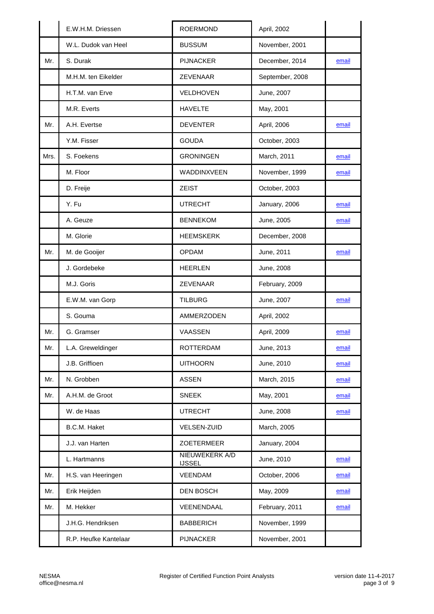|      | E.W.H.M. Driessen     | <b>ROERMOND</b>                 | April, 2002     |       |
|------|-----------------------|---------------------------------|-----------------|-------|
|      | W.L. Dudok van Heel   | <b>BUSSUM</b>                   | November, 2001  |       |
| Mr.  | S. Durak              | <b>PIJNACKER</b>                | December, 2014  | email |
|      | M.H.M. ten Eikelder   | ZEVENAAR                        | September, 2008 |       |
|      | H.T.M. van Erve       | VELDHOVEN                       | June, 2007      |       |
|      | M.R. Everts           | <b>HAVELTE</b>                  | May, 2001       |       |
| Mr.  | A.H. Evertse          | <b>DEVENTER</b>                 | April, 2006     | email |
|      | Y.M. Fisser           | <b>GOUDA</b>                    | October, 2003   |       |
| Mrs. | S. Foekens            | <b>GRONINGEN</b>                | March, 2011     | email |
|      | M. Floor              | WADDINXVEEN                     | November, 1999  | email |
|      | D. Freije             | <b>ZEIST</b>                    | October, 2003   |       |
|      | Y. Fu                 | <b>UTRECHT</b>                  | January, 2006   | email |
|      | A. Geuze              | <b>BENNEKOM</b>                 | June, 2005      | email |
|      | M. Glorie             | <b>HEEMSKERK</b>                | December, 2008  |       |
| Mr.  | M. de Gooijer         | <b>OPDAM</b>                    | June, 2011      | email |
|      | J. Gordebeke          | <b>HEERLEN</b>                  | June, 2008      |       |
|      | M.J. Goris            | ZEVENAAR                        | February, 2009  |       |
|      | E.W.M. van Gorp       | <b>TILBURG</b>                  | June, 2007      | email |
|      | S. Gouma              | AMMERZODEN                      | April, 2002     |       |
| Mr.  | G. Gramser            | <b>VAASSEN</b>                  | April, 2009     | email |
| Mr.  | L.A. Greweldinger     | ROTTERDAM                       | June, 2013      | email |
|      | J.B. Griffioen        | <b>UITHOORN</b>                 | June, 2010      | email |
| Mr.  | N. Grobben            | <b>ASSEN</b>                    | March, 2015     | email |
| Mr.  | A.H.M. de Groot       | <b>SNEEK</b>                    | May, 2001       | email |
|      | W. de Haas            | <b>UTRECHT</b>                  | June, 2008      | email |
|      | B.C.M. Haket          | <b>VELSEN-ZUID</b>              | March, 2005     |       |
|      | J.J. van Harten       | ZOETERMEER                      | January, 2004   |       |
|      | L. Hartmanns          | NIEUWEKERK A/D<br><b>IJSSEL</b> | June, 2010      | email |
| Mr.  | H.S. van Heeringen    | VEENDAM                         | October, 2006   | email |
| Mr.  | Erik Heijden          | <b>DEN BOSCH</b>                | May, 2009       | email |
| Mr.  | M. Hekker             | VEENENDAAL                      | February, 2011  | email |
|      | J.H.G. Hendriksen     | <b>BABBERICH</b>                | November, 1999  |       |
|      | R.P. Heufke Kantelaar | <b>PIJNACKER</b>                | November, 2001  |       |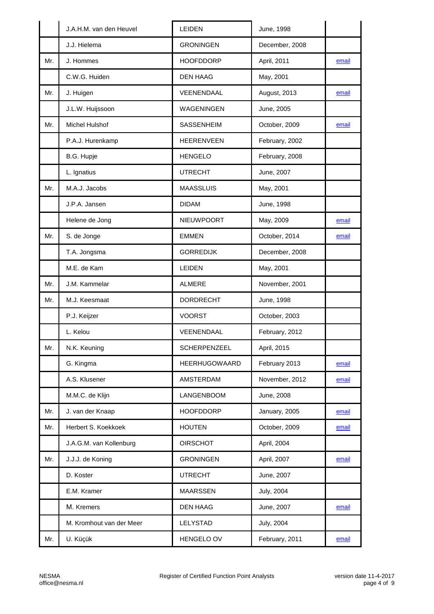|     | J.A.H.M. van den Heuvel  | LEIDEN               | June, 1998        |       |
|-----|--------------------------|----------------------|-------------------|-------|
|     | J.J. Hielema             | <b>GRONINGEN</b>     | December, 2008    |       |
| Mr. | J. Hommes                | <b>HOOFDDORP</b>     | April, 2011       | email |
|     | C.W.G. Huiden            | <b>DEN HAAG</b>      | May, 2001         |       |
| Mr. | J. Huigen                | VEENENDAAL           | August, 2013      | email |
|     | J.L.W. Huijssoon         | <b>WAGENINGEN</b>    | June, 2005        |       |
| Mr. | Michel Hulshof           | SASSENHEIM           | October, 2009     | email |
|     | P.A.J. Hurenkamp         | <b>HEERENVEEN</b>    | February, 2002    |       |
|     | B.G. Hupje               | <b>HENGELO</b>       | February, 2008    |       |
|     | L. Ignatius              | <b>UTRECHT</b>       | June, 2007        |       |
| Mr. | M.A.J. Jacobs            | <b>MAASSLUIS</b>     | May, 2001         |       |
|     | J.P.A. Jansen            | <b>DIDAM</b>         | June, 1998        |       |
|     | Helene de Jong           | NIEUWPOORT           | May, 2009         | email |
| Mr. | S. de Jonge              | <b>EMMEN</b>         | October, 2014     | email |
|     | T.A. Jongsma             | <b>GORREDIJK</b>     | December, 2008    |       |
|     | M.E. de Kam              | <b>LEIDEN</b>        | May, 2001         |       |
| Mr. | J.M. Kammelar            | <b>ALMERE</b>        | November, 2001    |       |
| Mr. | M.J. Keesmaat            | <b>DORDRECHT</b>     | June, 1998        |       |
|     | P.J. Keijzer             | <b>VOORST</b>        | October, 2003     |       |
|     | L. Kelou                 | VEENENDAAL           | February, 2012    |       |
| Mr. | N.K. Keuning             | SCHERPENZEEL         | April, 2015       |       |
|     | G. Kingma                | <b>HEERHUGOWAARD</b> | February 2013     | email |
|     | A.S. Klusener            | AMSTERDAM            | November, 2012    | email |
|     | M.M.C. de Klijn          | LANGENBOOM           | June, 2008        |       |
| Mr. | J. van der Knaap         | <b>HOOFDDORP</b>     | January, 2005     | email |
| Mr. | Herbert S. Koekkoek      | <b>HOUTEN</b>        | October, 2009     | email |
|     | J.A.G.M. van Kollenburg  | <b>OIRSCHOT</b>      | April, 2004       |       |
| Mr. | J.J.J. de Koning         | <b>GRONINGEN</b>     | April, 2007       | email |
|     | D. Koster                | <b>UTRECHT</b>       | June, 2007        |       |
|     | E.M. Kramer              | <b>MAARSSEN</b>      | <b>July, 2004</b> |       |
|     | M. Kremers               | <b>DEN HAAG</b>      | June, 2007        | email |
|     | M. Kromhout van der Meer | LELYSTAD             | <b>July, 2004</b> |       |
| Mr. | U. Küçük                 | HENGELO OV           | February, 2011    | email |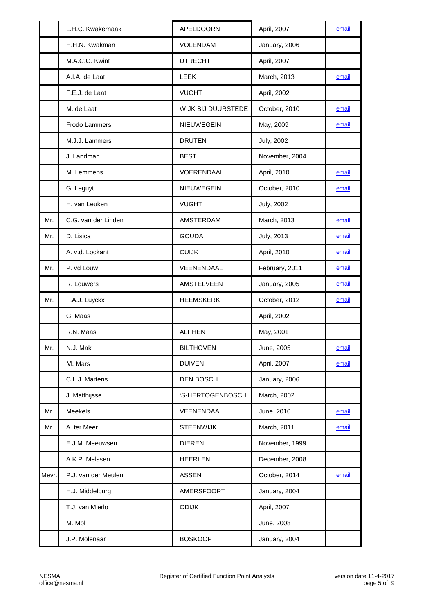|       | L.H.C. Kwakernaak   | <b>APELDOORN</b>   | April, 2007       | email |
|-------|---------------------|--------------------|-------------------|-------|
|       | H.H.N. Kwakman      | <b>VOLENDAM</b>    | January, 2006     |       |
|       | M.A.C.G. Kwint      | <b>UTRECHT</b>     | April, 2007       |       |
|       | A.I.A. de Laat      | <b>LEEK</b>        | March, 2013       | email |
|       | F.E.J. de Laat      | <b>VUGHT</b>       | April, 2002       |       |
|       | M. de Laat          | WIJK BIJ DUURSTEDE | October, 2010     | email |
|       | Frodo Lammers       | NIEUWEGEIN         | May, 2009         | email |
|       | M.J.J. Lammers      | <b>DRUTEN</b>      | <b>July, 2002</b> |       |
|       | J. Landman          | <b>BEST</b>        | November, 2004    |       |
|       | M. Lemmens          | VOERENDAAL         | April, 2010       | email |
|       | G. Leguyt           | NIEUWEGEIN         | October, 2010     | email |
|       | H. van Leuken       | <b>VUGHT</b>       | <b>July, 2002</b> |       |
| Mr.   | C.G. van der Linden | AMSTERDAM          | March, 2013       | email |
| Mr.   | D. Lisica           | <b>GOUDA</b>       | July, 2013        | email |
|       | A. v.d. Lockant     | <b>CUIJK</b>       | April, 2010       | email |
| Mr.   | P. vd Louw          | VEENENDAAL         | February, 2011    | email |
|       | R. Louwers          | AMSTELVEEN         | January, 2005     | email |
| Mr.   | F.A.J. Luyckx       | <b>HEEMSKERK</b>   | October, 2012     | email |
|       | G. Maas             |                    | April, 2002       |       |
|       | R.N. Maas           | <b>ALPHEN</b>      | May, 2001         |       |
| Mr.   | N.J. Mak            | <b>BILTHOVEN</b>   | June, 2005        | email |
|       | M. Mars             | <b>DUIVEN</b>      | April, 2007       | email |
|       | C.L.J. Martens      | <b>DEN BOSCH</b>   | January, 2006     |       |
|       | J. Matthijsse       | 'S-HERTOGENBOSCH   | March, 2002       |       |
| Mr.   | Meekels             | VEENENDAAL         | June, 2010        | email |
| Mr.   | A. ter Meer         | <b>STEENWIJK</b>   | March, 2011       | email |
|       | E.J.M. Meeuwsen     | <b>DIEREN</b>      | November, 1999    |       |
|       | A.K.P. Melssen      | <b>HEERLEN</b>     | December, 2008    |       |
| Mevr. | P.J. van der Meulen | <b>ASSEN</b>       | October, 2014     | email |
|       | H.J. Middelburg     | AMERSFOORT         | January, 2004     |       |
|       | T.J. van Mierlo     | <b>ODIJK</b>       | April, 2007       |       |
|       | M. Mol              |                    | June, 2008        |       |
|       | J.P. Molenaar       | <b>BOSKOOP</b>     | January, 2004     |       |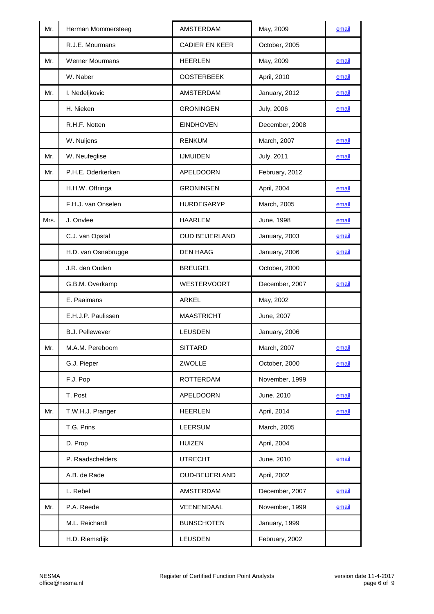| R.J.E. Mourmans<br>CADIER EN KEER<br>October, 2005<br>Mr.<br>May, 2009<br><b>Werner Mourmans</b><br><b>HEERLEN</b><br>email<br>W. Naber<br><b>OOSTERBEEK</b><br>April, 2010<br>email<br><b>AMSTERDAM</b><br>January, 2012<br>Mr.<br>I. Nedeljkovic<br>email<br>H. Nieken<br><b>GRONINGEN</b><br><b>July, 2006</b><br>email |
|----------------------------------------------------------------------------------------------------------------------------------------------------------------------------------------------------------------------------------------------------------------------------------------------------------------------------|
|                                                                                                                                                                                                                                                                                                                            |
|                                                                                                                                                                                                                                                                                                                            |
|                                                                                                                                                                                                                                                                                                                            |
|                                                                                                                                                                                                                                                                                                                            |
|                                                                                                                                                                                                                                                                                                                            |
| <b>EINDHOVEN</b><br>R.H.F. Notten<br>December, 2008                                                                                                                                                                                                                                                                        |
| W. Nuijens<br><b>RENKUM</b><br>March, 2007<br>email                                                                                                                                                                                                                                                                        |
| <b>July, 2011</b><br>Mr.<br>W. Neufeglise<br><b>IJMUIDEN</b><br>email                                                                                                                                                                                                                                                      |
| P.H.E. Oderkerken<br>Mr.<br>APELDOORN<br>February, 2012                                                                                                                                                                                                                                                                    |
| <b>GRONINGEN</b><br>H.H.W. Offringa<br>April, 2004<br>email                                                                                                                                                                                                                                                                |
| F.H.J. van Onselen<br><b>HURDEGARYP</b><br>March, 2005<br>email                                                                                                                                                                                                                                                            |
| Mrs.<br>J. Onvlee<br><b>HAARLEM</b><br>June, 1998<br>email                                                                                                                                                                                                                                                                 |
| C.J. van Opstal<br><b>OUD BEIJERLAND</b><br>January, 2003<br>email                                                                                                                                                                                                                                                         |
| H.D. van Osnabrugge<br><b>DEN HAAG</b><br>January, 2006<br>email                                                                                                                                                                                                                                                           |
| J.R. den Ouden<br><b>BREUGEL</b><br>October, 2000                                                                                                                                                                                                                                                                          |
| WESTERVOORT<br>December, 2007<br>G.B.M. Overkamp<br>email                                                                                                                                                                                                                                                                  |
| E. Paaimans<br>ARKEL<br>May, 2002                                                                                                                                                                                                                                                                                          |
| <b>MAASTRICHT</b><br>E.H.J.P. Paulissen<br>June, 2007                                                                                                                                                                                                                                                                      |
| <b>B.J. Pellewever</b><br><b>LEUSDEN</b><br>January, 2006                                                                                                                                                                                                                                                                  |
| March, 2007<br>Mr.<br>M.A.M. Pereboom<br><b>SITTARD</b><br>email                                                                                                                                                                                                                                                           |
| ZWOLLE<br>G.J. Pieper<br>October, 2000<br>email                                                                                                                                                                                                                                                                            |
| F.J. Pop<br>November, 1999<br><b>ROTTERDAM</b>                                                                                                                                                                                                                                                                             |
| T. Post<br><b>APELDOORN</b><br>June, 2010<br>email                                                                                                                                                                                                                                                                         |
| <b>HEERLEN</b><br>April, 2014<br>Mr.<br>T.W.H.J. Pranger<br>email                                                                                                                                                                                                                                                          |
| T.G. Prins<br><b>LEERSUM</b><br>March, 2005                                                                                                                                                                                                                                                                                |
| D. Prop<br><b>HUIZEN</b><br>April, 2004                                                                                                                                                                                                                                                                                    |
| P. Raadschelders<br><b>UTRECHT</b><br>June, 2010<br>email                                                                                                                                                                                                                                                                  |
| A.B. de Rade<br><b>OUD-BEIJERLAND</b><br>April, 2002                                                                                                                                                                                                                                                                       |
| L. Rebel<br>AMSTERDAM<br>December, 2007<br>email                                                                                                                                                                                                                                                                           |
| Mr.<br>P.A. Reede<br>VEENENDAAL<br>November, 1999<br>email                                                                                                                                                                                                                                                                 |
| M.L. Reichardt<br><b>BUNSCHOTEN</b><br>January, 1999                                                                                                                                                                                                                                                                       |
| <b>LEUSDEN</b><br>H.D. Riemsdijk<br>February, 2002                                                                                                                                                                                                                                                                         |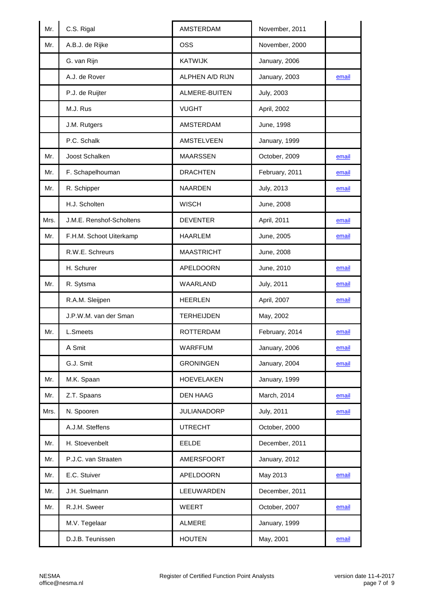| A.B.J. de Rijke<br><b>OSS</b><br>November, 2000<br>Mr.<br>G. van Rijn<br><b>KATWIJK</b><br>January, 2006<br>A.J. de Rover<br>ALPHEN A/D RIJN<br>January, 2003<br>email<br>P.J. de Ruijter<br>ALMERE-BUITEN<br><b>July, 2003</b><br>M.J. Rus<br><b>VUGHT</b><br>April, 2002<br>J.M. Rutgers<br>AMSTERDAM<br>June, 1998<br>P.C. Schalk<br>AMSTELVEEN<br>January, 1999<br>Joost Schalken<br><b>MAARSSEN</b><br>October, 2009<br>Mr.<br>email<br>F. Schapelhouman<br><b>DRACHTEN</b><br>February, 2011<br>Mr.<br>email<br>R. Schipper<br><b>NAARDEN</b><br>Mr.<br>July, 2013<br>email<br>H.J. Scholten<br><b>WISCH</b><br>June, 2008<br>Mrs.<br>J.M.E. Renshof-Scholtens<br><b>DEVENTER</b><br>April, 2011<br>email<br><b>HAARLEM</b><br>Mr.<br>F.H.M. Schoot Uiterkamp<br>June, 2005<br>email<br>R.W.E. Schreurs<br><b>MAASTRICHT</b><br>June, 2008<br>H. Schurer<br>APELDOORN<br>June, 2010<br>email<br>Mr.<br>R. Sytsma<br>WAARLAND<br><b>July, 2011</b><br>email<br>R.A.M. Sleijpen<br><b>HEERLEN</b><br>April, 2007<br>email<br>J.P.W.M. van der Sman<br><b>TERHEIJDEN</b><br>May, 2002<br>February, 2014<br>L.Smeets<br><b>ROTTERDAM</b><br>Mr.<br>email<br>A Smit<br>WARFFUM<br>January, 2006<br>email<br>G.J. Smit<br>January, 2004<br><b>GRONINGEN</b><br>email<br>January, 1999<br>M.K. Spaan<br><b>HOEVELAKEN</b><br>Mr.<br><b>DEN HAAG</b><br>March, 2014<br>Mr.<br>Z.T. Spaans<br>email<br>N. Spooren<br><b>JULIANADORP</b><br>July, 2011<br>Mrs.<br>email<br>A.J.M. Steffens<br><b>UTRECHT</b><br>October, 2000<br>H. Stoevenbelt<br>EELDE<br>December, 2011<br>Mr.<br>P.J.C. van Straaten<br>January, 2012<br>Mr.<br>AMERSFOORT<br>E.C. Stuiver<br>APELDOORN<br>May 2013<br>Mr.<br>email<br>J.H. Suelmann<br>LEEUWARDEN<br>December, 2011<br>Mr.<br>R.J.H. Sweer<br>WEERT<br>October, 2007<br>Mr.<br>email<br>M.V. Tegelaar<br><b>ALMERE</b><br>January, 1999<br>May, 2001<br>D.J.B. Teunissen<br><b>HOUTEN</b><br>email | Mr. | C.S. Rigal | <b>AMSTERDAM</b> | November, 2011 |  |
|-------------------------------------------------------------------------------------------------------------------------------------------------------------------------------------------------------------------------------------------------------------------------------------------------------------------------------------------------------------------------------------------------------------------------------------------------------------------------------------------------------------------------------------------------------------------------------------------------------------------------------------------------------------------------------------------------------------------------------------------------------------------------------------------------------------------------------------------------------------------------------------------------------------------------------------------------------------------------------------------------------------------------------------------------------------------------------------------------------------------------------------------------------------------------------------------------------------------------------------------------------------------------------------------------------------------------------------------------------------------------------------------------------------------------------------------------------------------------------------------------------------------------------------------------------------------------------------------------------------------------------------------------------------------------------------------------------------------------------------------------------------------------------------------------------------------------------------------------------------------------------------------------------------------------------------|-----|------------|------------------|----------------|--|
|                                                                                                                                                                                                                                                                                                                                                                                                                                                                                                                                                                                                                                                                                                                                                                                                                                                                                                                                                                                                                                                                                                                                                                                                                                                                                                                                                                                                                                                                                                                                                                                                                                                                                                                                                                                                                                                                                                                                     |     |            |                  |                |  |
|                                                                                                                                                                                                                                                                                                                                                                                                                                                                                                                                                                                                                                                                                                                                                                                                                                                                                                                                                                                                                                                                                                                                                                                                                                                                                                                                                                                                                                                                                                                                                                                                                                                                                                                                                                                                                                                                                                                                     |     |            |                  |                |  |
|                                                                                                                                                                                                                                                                                                                                                                                                                                                                                                                                                                                                                                                                                                                                                                                                                                                                                                                                                                                                                                                                                                                                                                                                                                                                                                                                                                                                                                                                                                                                                                                                                                                                                                                                                                                                                                                                                                                                     |     |            |                  |                |  |
|                                                                                                                                                                                                                                                                                                                                                                                                                                                                                                                                                                                                                                                                                                                                                                                                                                                                                                                                                                                                                                                                                                                                                                                                                                                                                                                                                                                                                                                                                                                                                                                                                                                                                                                                                                                                                                                                                                                                     |     |            |                  |                |  |
|                                                                                                                                                                                                                                                                                                                                                                                                                                                                                                                                                                                                                                                                                                                                                                                                                                                                                                                                                                                                                                                                                                                                                                                                                                                                                                                                                                                                                                                                                                                                                                                                                                                                                                                                                                                                                                                                                                                                     |     |            |                  |                |  |
|                                                                                                                                                                                                                                                                                                                                                                                                                                                                                                                                                                                                                                                                                                                                                                                                                                                                                                                                                                                                                                                                                                                                                                                                                                                                                                                                                                                                                                                                                                                                                                                                                                                                                                                                                                                                                                                                                                                                     |     |            |                  |                |  |
|                                                                                                                                                                                                                                                                                                                                                                                                                                                                                                                                                                                                                                                                                                                                                                                                                                                                                                                                                                                                                                                                                                                                                                                                                                                                                                                                                                                                                                                                                                                                                                                                                                                                                                                                                                                                                                                                                                                                     |     |            |                  |                |  |
|                                                                                                                                                                                                                                                                                                                                                                                                                                                                                                                                                                                                                                                                                                                                                                                                                                                                                                                                                                                                                                                                                                                                                                                                                                                                                                                                                                                                                                                                                                                                                                                                                                                                                                                                                                                                                                                                                                                                     |     |            |                  |                |  |
|                                                                                                                                                                                                                                                                                                                                                                                                                                                                                                                                                                                                                                                                                                                                                                                                                                                                                                                                                                                                                                                                                                                                                                                                                                                                                                                                                                                                                                                                                                                                                                                                                                                                                                                                                                                                                                                                                                                                     |     |            |                  |                |  |
|                                                                                                                                                                                                                                                                                                                                                                                                                                                                                                                                                                                                                                                                                                                                                                                                                                                                                                                                                                                                                                                                                                                                                                                                                                                                                                                                                                                                                                                                                                                                                                                                                                                                                                                                                                                                                                                                                                                                     |     |            |                  |                |  |
|                                                                                                                                                                                                                                                                                                                                                                                                                                                                                                                                                                                                                                                                                                                                                                                                                                                                                                                                                                                                                                                                                                                                                                                                                                                                                                                                                                                                                                                                                                                                                                                                                                                                                                                                                                                                                                                                                                                                     |     |            |                  |                |  |
|                                                                                                                                                                                                                                                                                                                                                                                                                                                                                                                                                                                                                                                                                                                                                                                                                                                                                                                                                                                                                                                                                                                                                                                                                                                                                                                                                                                                                                                                                                                                                                                                                                                                                                                                                                                                                                                                                                                                     |     |            |                  |                |  |
|                                                                                                                                                                                                                                                                                                                                                                                                                                                                                                                                                                                                                                                                                                                                                                                                                                                                                                                                                                                                                                                                                                                                                                                                                                                                                                                                                                                                                                                                                                                                                                                                                                                                                                                                                                                                                                                                                                                                     |     |            |                  |                |  |
|                                                                                                                                                                                                                                                                                                                                                                                                                                                                                                                                                                                                                                                                                                                                                                                                                                                                                                                                                                                                                                                                                                                                                                                                                                                                                                                                                                                                                                                                                                                                                                                                                                                                                                                                                                                                                                                                                                                                     |     |            |                  |                |  |
|                                                                                                                                                                                                                                                                                                                                                                                                                                                                                                                                                                                                                                                                                                                                                                                                                                                                                                                                                                                                                                                                                                                                                                                                                                                                                                                                                                                                                                                                                                                                                                                                                                                                                                                                                                                                                                                                                                                                     |     |            |                  |                |  |
|                                                                                                                                                                                                                                                                                                                                                                                                                                                                                                                                                                                                                                                                                                                                                                                                                                                                                                                                                                                                                                                                                                                                                                                                                                                                                                                                                                                                                                                                                                                                                                                                                                                                                                                                                                                                                                                                                                                                     |     |            |                  |                |  |
|                                                                                                                                                                                                                                                                                                                                                                                                                                                                                                                                                                                                                                                                                                                                                                                                                                                                                                                                                                                                                                                                                                                                                                                                                                                                                                                                                                                                                                                                                                                                                                                                                                                                                                                                                                                                                                                                                                                                     |     |            |                  |                |  |
|                                                                                                                                                                                                                                                                                                                                                                                                                                                                                                                                                                                                                                                                                                                                                                                                                                                                                                                                                                                                                                                                                                                                                                                                                                                                                                                                                                                                                                                                                                                                                                                                                                                                                                                                                                                                                                                                                                                                     |     |            |                  |                |  |
|                                                                                                                                                                                                                                                                                                                                                                                                                                                                                                                                                                                                                                                                                                                                                                                                                                                                                                                                                                                                                                                                                                                                                                                                                                                                                                                                                                                                                                                                                                                                                                                                                                                                                                                                                                                                                                                                                                                                     |     |            |                  |                |  |
|                                                                                                                                                                                                                                                                                                                                                                                                                                                                                                                                                                                                                                                                                                                                                                                                                                                                                                                                                                                                                                                                                                                                                                                                                                                                                                                                                                                                                                                                                                                                                                                                                                                                                                                                                                                                                                                                                                                                     |     |            |                  |                |  |
|                                                                                                                                                                                                                                                                                                                                                                                                                                                                                                                                                                                                                                                                                                                                                                                                                                                                                                                                                                                                                                                                                                                                                                                                                                                                                                                                                                                                                                                                                                                                                                                                                                                                                                                                                                                                                                                                                                                                     |     |            |                  |                |  |
|                                                                                                                                                                                                                                                                                                                                                                                                                                                                                                                                                                                                                                                                                                                                                                                                                                                                                                                                                                                                                                                                                                                                                                                                                                                                                                                                                                                                                                                                                                                                                                                                                                                                                                                                                                                                                                                                                                                                     |     |            |                  |                |  |
|                                                                                                                                                                                                                                                                                                                                                                                                                                                                                                                                                                                                                                                                                                                                                                                                                                                                                                                                                                                                                                                                                                                                                                                                                                                                                                                                                                                                                                                                                                                                                                                                                                                                                                                                                                                                                                                                                                                                     |     |            |                  |                |  |
|                                                                                                                                                                                                                                                                                                                                                                                                                                                                                                                                                                                                                                                                                                                                                                                                                                                                                                                                                                                                                                                                                                                                                                                                                                                                                                                                                                                                                                                                                                                                                                                                                                                                                                                                                                                                                                                                                                                                     |     |            |                  |                |  |
|                                                                                                                                                                                                                                                                                                                                                                                                                                                                                                                                                                                                                                                                                                                                                                                                                                                                                                                                                                                                                                                                                                                                                                                                                                                                                                                                                                                                                                                                                                                                                                                                                                                                                                                                                                                                                                                                                                                                     |     |            |                  |                |  |
|                                                                                                                                                                                                                                                                                                                                                                                                                                                                                                                                                                                                                                                                                                                                                                                                                                                                                                                                                                                                                                                                                                                                                                                                                                                                                                                                                                                                                                                                                                                                                                                                                                                                                                                                                                                                                                                                                                                                     |     |            |                  |                |  |
|                                                                                                                                                                                                                                                                                                                                                                                                                                                                                                                                                                                                                                                                                                                                                                                                                                                                                                                                                                                                                                                                                                                                                                                                                                                                                                                                                                                                                                                                                                                                                                                                                                                                                                                                                                                                                                                                                                                                     |     |            |                  |                |  |
|                                                                                                                                                                                                                                                                                                                                                                                                                                                                                                                                                                                                                                                                                                                                                                                                                                                                                                                                                                                                                                                                                                                                                                                                                                                                                                                                                                                                                                                                                                                                                                                                                                                                                                                                                                                                                                                                                                                                     |     |            |                  |                |  |
|                                                                                                                                                                                                                                                                                                                                                                                                                                                                                                                                                                                                                                                                                                                                                                                                                                                                                                                                                                                                                                                                                                                                                                                                                                                                                                                                                                                                                                                                                                                                                                                                                                                                                                                                                                                                                                                                                                                                     |     |            |                  |                |  |
|                                                                                                                                                                                                                                                                                                                                                                                                                                                                                                                                                                                                                                                                                                                                                                                                                                                                                                                                                                                                                                                                                                                                                                                                                                                                                                                                                                                                                                                                                                                                                                                                                                                                                                                                                                                                                                                                                                                                     |     |            |                  |                |  |
|                                                                                                                                                                                                                                                                                                                                                                                                                                                                                                                                                                                                                                                                                                                                                                                                                                                                                                                                                                                                                                                                                                                                                                                                                                                                                                                                                                                                                                                                                                                                                                                                                                                                                                                                                                                                                                                                                                                                     |     |            |                  |                |  |
|                                                                                                                                                                                                                                                                                                                                                                                                                                                                                                                                                                                                                                                                                                                                                                                                                                                                                                                                                                                                                                                                                                                                                                                                                                                                                                                                                                                                                                                                                                                                                                                                                                                                                                                                                                                                                                                                                                                                     |     |            |                  |                |  |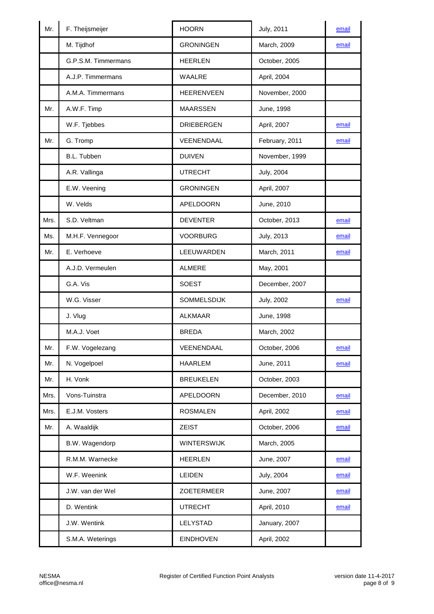| Mr.  | F. Theijsmeijer     | <b>HOORN</b>       | <b>July, 2011</b> | email |
|------|---------------------|--------------------|-------------------|-------|
|      | M. Tijdhof          | <b>GRONINGEN</b>   | March, 2009       | email |
|      | G.P.S.M. Timmermans | <b>HEERLEN</b>     | October, 2005     |       |
|      | A.J.P. Timmermans   | WAALRE             | April, 2004       |       |
|      | A.M.A. Timmermans   | <b>HEERENVEEN</b>  | November, 2000    |       |
| Mr.  | A.W.F. Timp         | <b>MAARSSEN</b>    | June, 1998        |       |
|      | W.F. Tjebbes        | <b>DRIEBERGEN</b>  | April, 2007       | email |
| Mr.  | G. Tromp            | VEENENDAAL         | February, 2011    | email |
|      | B.L. Tubben         | <b>DUIVEN</b>      | November, 1999    |       |
|      | A.R. Vallinga       | <b>UTRECHT</b>     | <b>July, 2004</b> |       |
|      | E.W. Veening        | <b>GRONINGEN</b>   | April, 2007       |       |
|      | W. Velds            | APELDOORN          | June, 2010        |       |
| Mrs. | S.D. Veltman        | <b>DEVENTER</b>    | October, 2013     | email |
| Ms.  | M.H.F. Vennegoor    | <b>VOORBURG</b>    | <b>July, 2013</b> | email |
| Mr.  | E. Verhoeve         | LEEUWARDEN         | March, 2011       | email |
|      | A.J.D. Vermeulen    | <b>ALMERE</b>      | May, 2001         |       |
|      | G.A. Vis            | <b>SOEST</b>       | December, 2007    |       |
|      | W.G. Visser         | <b>SOMMELSDIJK</b> | <b>July, 2002</b> | email |
|      | J. Vlug             | <b>ALKMAAR</b>     | June, 1998        |       |
|      | M.A.J. Voet         | <b>BREDA</b>       | March, 2002       |       |
| Mr.  | F.W. Vogelezang     | VEENENDAAL         | October, 2006     | email |
| Mr.  | N. Vogelpoel        | <b>HAARLEM</b>     | June, 2011        | email |
| Mr.  | H. Vonk             | <b>BREUKELEN</b>   | October, 2003     |       |
| Mrs. | Vons-Tuinstra       | <b>APELDOORN</b>   | December, 2010    | email |
| Mrs. | E.J.M. Vosters      | <b>ROSMALEN</b>    | April, 2002       | email |
| Mr.  | A. Waaldijk         | <b>ZEIST</b>       | October, 2006     | email |
|      | B.W. Wagendorp      | WINTERSWIJK        | March, 2005       |       |
|      | R.M.M. Warnecke     | <b>HEERLEN</b>     | June, 2007        | email |
|      | W.F. Weenink        | LEIDEN             | <b>July, 2004</b> | email |
|      | J.W. van der Wel    | ZOETERMEER         | June, 2007        | email |
|      | D. Wentink          | <b>UTRECHT</b>     | April, 2010       | email |
|      | J.W. Wentink        | LELYSTAD           | January, 2007     |       |
|      | S.M.A. Weterings    | <b>EINDHOVEN</b>   | April, 2002       |       |
|      |                     |                    |                   |       |